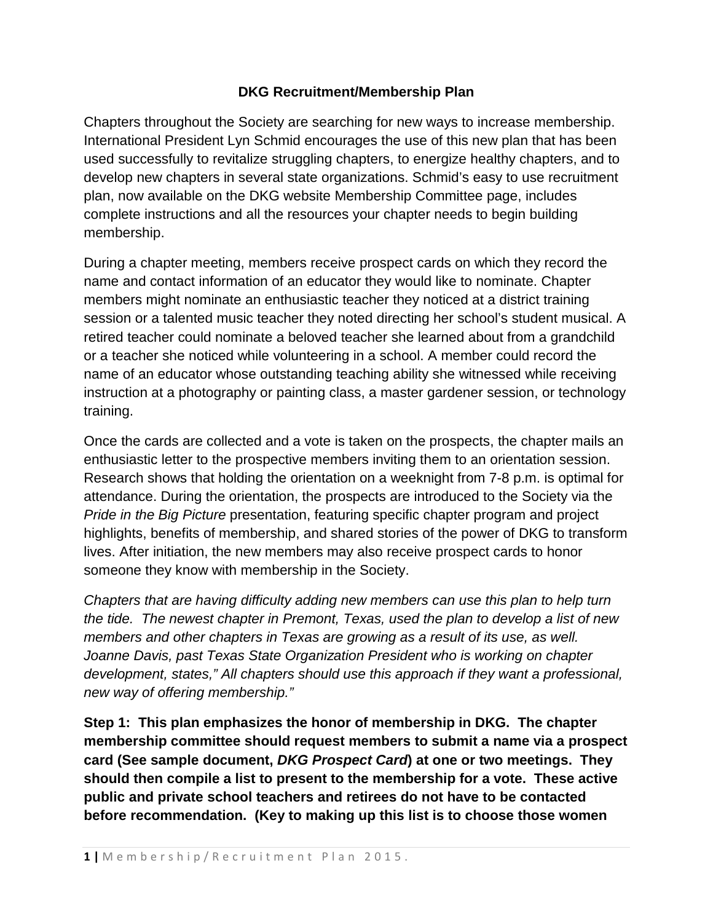## **DKG Recruitment/Membership Plan**

Chapters throughout the Society are searching for new ways to increase membership. International President Lyn Schmid encourages the use of this new plan that has been used successfully to revitalize struggling chapters, to energize healthy chapters, and to develop new chapters in several state organizations. Schmid's easy to use recruitment plan, now available on the DKG website Membership Committee page, includes complete instructions and all the resources your chapter needs to begin building membership.

During a chapter meeting, members receive prospect cards on which they record the name and contact information of an educator they would like to nominate. Chapter members might nominate an enthusiastic teacher they noticed at a district training session or a talented music teacher they noted directing her school's student musical. A retired teacher could nominate a beloved teacher she learned about from a grandchild or a teacher she noticed while volunteering in a school. A member could record the name of an educator whose outstanding teaching ability she witnessed while receiving instruction at a photography or painting class, a master gardener session, or technology training.

Once the cards are collected and a vote is taken on the prospects, the chapter mails an enthusiastic letter to the prospective members inviting them to an orientation session. Research shows that holding the orientation on a weeknight from 7-8 p.m. is optimal for attendance. During the orientation, the prospects are introduced to the Society via the *Pride in the Big Picture* presentation, featuring specific chapter program and project highlights, benefits of membership, and shared stories of the power of DKG to transform lives. After initiation, the new members may also receive prospect cards to honor someone they know with membership in the Society.

*Chapters that are having difficulty adding new members can use this plan to help turn the tide. The newest chapter in Premont, Texas, used the plan to develop a list of new members and other chapters in Texas are growing as a result of its use, as well. Joanne Davis, past Texas State Organization President who is working on chapter development, states," All chapters should use this approach if they want a professional, new way of offering membership."*

**Step 1: This plan emphasizes the honor of membership in DKG. The chapter membership committee should request members to submit a name via a prospect card (See sample document,** *DKG Prospect Card***) at one or two meetings. They should then compile a list to present to the membership for a vote. These active public and private school teachers and retirees do not have to be contacted before recommendation. (Key to making up this list is to choose those women**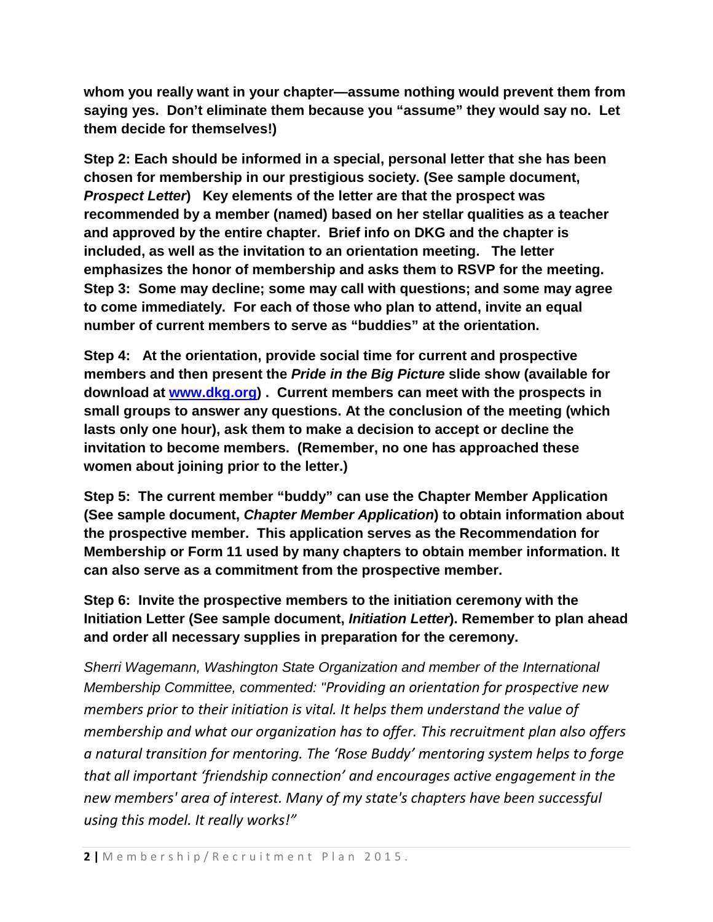**whom you really want in your chapter—assume nothing would prevent them from saying yes. Don't eliminate them because you "assume" they would say no. Let them decide for themselves!)**

**Step 2: Each should be informed in a special, personal letter that she has been chosen for membership in our prestigious society. (See sample document,**  *Prospect Letter***) Key elements of the letter are that the prospect was recommended by a member (named) based on her stellar qualities as a teacher and approved by the entire chapter. Brief info on DKG and the chapter is included, as well as the invitation to an orientation meeting. The letter emphasizes the honor of membership and asks them to RSVP for the meeting. Step 3: Some may decline; some may call with questions; and some may agree to come immediately. For each of those who plan to attend, invite an equal number of current members to serve as "buddies" at the orientation.** 

**Step 4: At the orientation, provide social time for current and prospective members and then present the** *Pride in the Big Picture* **slide show (available for download at [www.dkg.org\)](http://www.dkg.org/) . Current members can meet with the prospects in small groups to answer any questions. At the conclusion of the meeting (which lasts only one hour), ask them to make a decision to accept or decline the invitation to become members. (Remember, no one has approached these women about joining prior to the letter.)**

**Step 5: The current member "buddy" can use the Chapter Member Application (See sample document,** *Chapter Member Application***) to obtain information about the prospective member. This application serves as the Recommendation for Membership or Form 11 used by many chapters to obtain member information. It can also serve as a commitment from the prospective member.** 

**Step 6: Invite the prospective members to the initiation ceremony with the Initiation Letter (See sample document,** *Initiation Letter***). Remember to plan ahead and order all necessary supplies in preparation for the ceremony.**

*Sherri Wagemann, Washington State Organization and member of the International Membership Committee, commented: "Providing an orientation for prospective new members prior to their initiation is vital. It helps them understand the value of membership and what our organization has to offer. This recruitment plan also offers a natural transition for mentoring. The 'Rose Buddy' mentoring system helps to forge that all important 'friendship connection' and encourages active engagement in the new members' area of interest. Many of my state's chapters have been successful using this model. It really works!"*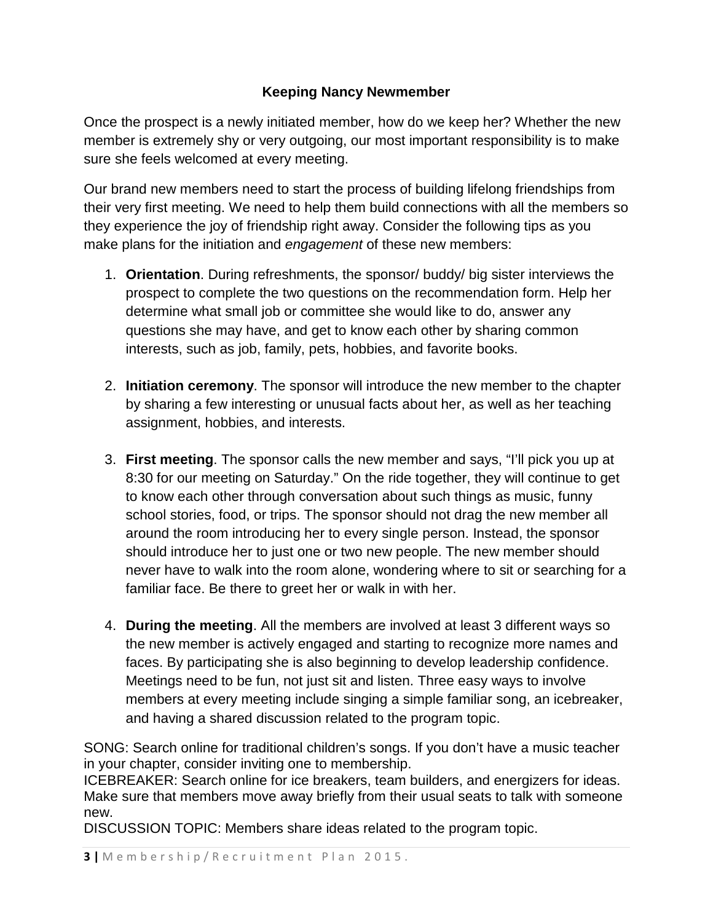## **Keeping Nancy Newmember**

Once the prospect is a newly initiated member, how do we keep her? Whether the new member is extremely shy or very outgoing, our most important responsibility is to make sure she feels welcomed at every meeting.

Our brand new members need to start the process of building lifelong friendships from their very first meeting. We need to help them build connections with all the members so they experience the joy of friendship right away. Consider the following tips as you make plans for the initiation and *engagement* of these new members:

- 1. **Orientation**. During refreshments, the sponsor/ buddy/ big sister interviews the prospect to complete the two questions on the recommendation form. Help her determine what small job or committee she would like to do, answer any questions she may have, and get to know each other by sharing common interests, such as job, family, pets, hobbies, and favorite books.
- 2. **Initiation ceremony**. The sponsor will introduce the new member to the chapter by sharing a few interesting or unusual facts about her, as well as her teaching assignment, hobbies, and interests.
- 3. **First meeting**. The sponsor calls the new member and says, "I'll pick you up at 8:30 for our meeting on Saturday." On the ride together, they will continue to get to know each other through conversation about such things as music, funny school stories, food, or trips. The sponsor should not drag the new member all around the room introducing her to every single person. Instead, the sponsor should introduce her to just one or two new people. The new member should never have to walk into the room alone, wondering where to sit or searching for a familiar face. Be there to greet her or walk in with her.
- 4. **During the meeting**. All the members are involved at least 3 different ways so the new member is actively engaged and starting to recognize more names and faces. By participating she is also beginning to develop leadership confidence. Meetings need to be fun, not just sit and listen. Three easy ways to involve members at every meeting include singing a simple familiar song, an icebreaker, and having a shared discussion related to the program topic.

SONG: Search online for traditional children's songs. If you don't have a music teacher in your chapter, consider inviting one to membership.

ICEBREAKER: Search online for ice breakers, team builders, and energizers for ideas. Make sure that members move away briefly from their usual seats to talk with someone new.

DISCUSSION TOPIC: Members share ideas related to the program topic.